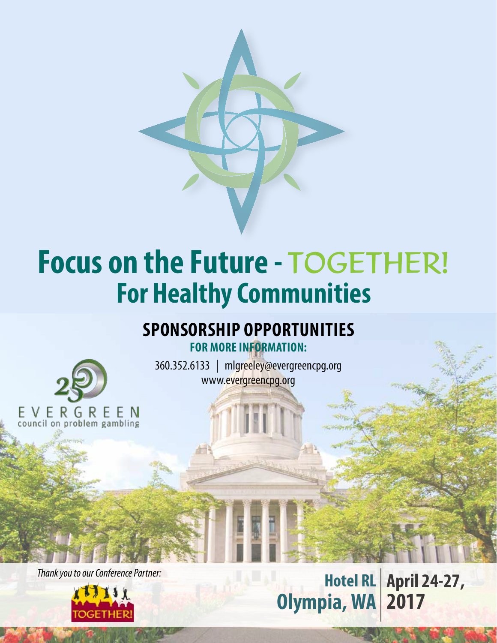

# **Focus on the Future -** TOGETHER! **For Healthy Communities**

## **Sponsorship Opportunities**

**For more information:**

360.352.6133 | mlgreeley@evergreencpg.org www.evergreencpg.org

E V E R G R E E N<br>council on problem gambling

*Thank you to our Conference Partner:*



**Hotel RL April 24-27, Olympia, WA 2017**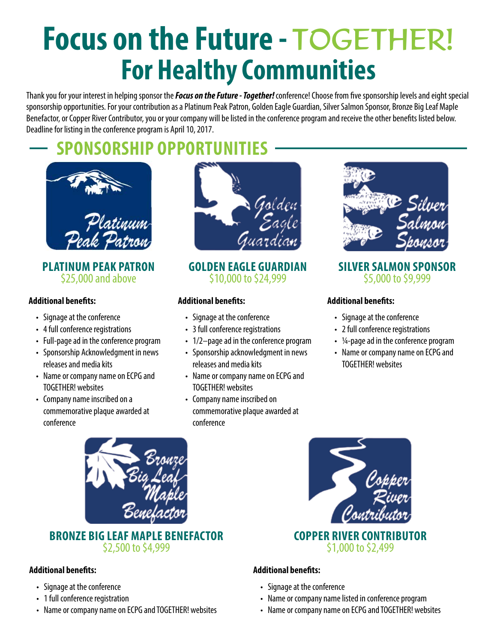# **Focus on the Future -** TOGETHER! **For Healthy Communities**

Thank you for your interest in helping sponsor the *Focus on the Future - Together!* conference! Choose from five sponsorship levels and eight special sponsorship opportunities. For your contribution as a Platinum Peak Patron, Golden Eagle Guardian, Silver Salmon Sponsor, Bronze Big Leaf Maple Benefactor, or Copper River Contributor, you or your company will be listed in the conference program and receive the other benefits listed below. Deadline for listing in the conference program is April 10, 2017.

## **sponsorship opportunities**



**Platinum Peak Patron**  \$25,000 and above

#### **Additional benefits:**

- • Signage at the conference
- 4 full conference registrations
- • Full-page ad in the conference program
- Sponsorship Acknowledgment in news releases and media kits
- Name or company name on ECPG and TOGETHER! websites
- Company name inscribed on a commemorative plaque awarded at conference



#### **Golden Eagle Guardian** \$10,000 to \$24,999

#### **Additional benefits:**

- • Signage at the conference
- 3 full conference registrations
- 1/2–page ad in the conference program
- Sponsorship acknowledgment in news releases and media kits
- Name or company name on ECPG and TOGETHER! websites
- • Company name inscribed on commemorative plaque awarded at conference



#### **Silver Salmon Sponsor** \$5,000 to \$9,999

#### **Additional benefits:**

- • Signage at the conference
- 2 full conference registrations
- $\cdot$  ¼-page ad in the conference program
- Name or company name on ECPG and TOGETHER! websites



# **Bronze Big Leaf Maple Benefactor** \$2,500 to \$4,999

#### **Additional benefits:**

- • Signage at the conference
- 1 full conference registration
- Name or company name on ECPG and TOGETHER! websites



#### **Additional benefits:**

- Signage at the conference
- Name or company name listed in conference program
- Name or company name on ECPG and TOGETHER! websites